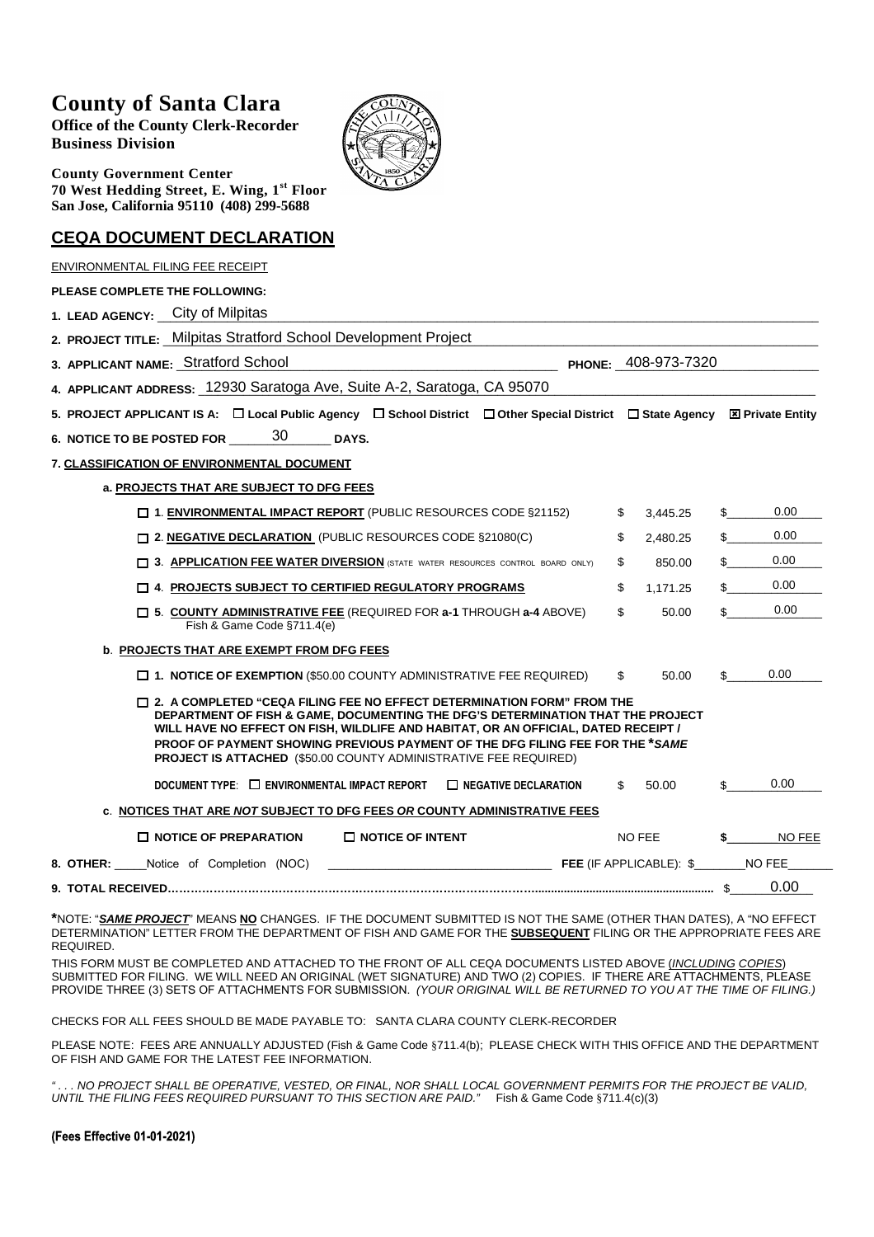# **County of Santa Clara**

**Office of the County Clerk-Recorder Business Division**



**County Government Center 70 West Hedding Street, E. Wing, 1st Floor San Jose, California 95110 (408) 299-5688**

### **CEQA DOCUMENT DECLARATION**

| ENVIRONMENTAL FILING FEE RECEIPT                                                                                                                                                                                                                                                                                                                                                                                   |    |          |     |        |  |  |  |
|--------------------------------------------------------------------------------------------------------------------------------------------------------------------------------------------------------------------------------------------------------------------------------------------------------------------------------------------------------------------------------------------------------------------|----|----------|-----|--------|--|--|--|
| <b>PLEASE COMPLETE THE FOLLOWING:</b>                                                                                                                                                                                                                                                                                                                                                                              |    |          |     |        |  |  |  |
| 1. LEAD AGENCY: City of Milpitas                                                                                                                                                                                                                                                                                                                                                                                   |    |          |     |        |  |  |  |
| 2. PROJECT TITLE: Milpitas Stratford School Development Project                                                                                                                                                                                                                                                                                                                                                    |    |          |     |        |  |  |  |
| PHONE: 408-973-7320<br>3. APPLICANT NAME: Stratford School                                                                                                                                                                                                                                                                                                                                                         |    |          |     |        |  |  |  |
| 4. APPLICANT ADDRESS: 12930 Saratoga Ave, Suite A-2, Saratoga, CA 95070                                                                                                                                                                                                                                                                                                                                            |    |          |     |        |  |  |  |
| 5. PROJECT APPLICANT IS A: $\Box$ Local Public Agency $\Box$ School District $\Box$ Other Special District $\Box$ State Agency $\boxtimes$ Private Entity                                                                                                                                                                                                                                                          |    |          |     |        |  |  |  |
| 6. NOTICE TO BE POSTED FOR 200<br><b>DAYS.</b>                                                                                                                                                                                                                                                                                                                                                                     |    |          |     |        |  |  |  |
| 7. CLASSIFICATION OF ENVIRONMENTAL DOCUMENT                                                                                                                                                                                                                                                                                                                                                                        |    |          |     |        |  |  |  |
| a. PROJECTS THAT ARE SUBJECT TO DFG FEES                                                                                                                                                                                                                                                                                                                                                                           |    |          |     |        |  |  |  |
| □ 1. ENVIRONMENTAL IMPACT REPORT (PUBLIC RESOURCES CODE §21152)                                                                                                                                                                                                                                                                                                                                                    | \$ | 3,445.25 | \$  | 0.00   |  |  |  |
| □ 2. NEGATIVE DECLARATION (PUBLIC RESOURCES CODE §21080(C)                                                                                                                                                                                                                                                                                                                                                         | \$ | 2.480.25 | \$  | 0.00   |  |  |  |
| <b>13. APPLICATION FEE WATER DIVERSION</b> (STATE WATER RESOURCES CONTROL BOARD ONLY)                                                                                                                                                                                                                                                                                                                              | \$ | 850.00   | \$  | 0.00   |  |  |  |
| $\Box$ 4. PROJECTS SUBJECT TO CERTIFIED REGULATORY PROGRAMS                                                                                                                                                                                                                                                                                                                                                        | \$ | 1,171.25 | \$  | 0.00   |  |  |  |
| $\Box$ 5. COUNTY ADMINISTRATIVE FEE (REQUIRED FOR a-1 THROUGH a-4 ABOVE)<br>Fish & Game Code §711.4(e)                                                                                                                                                                                                                                                                                                             | \$ | 50.00    | \$  | 0.00   |  |  |  |
| b. PROJECTS THAT ARE EXEMPT FROM DFG FEES                                                                                                                                                                                                                                                                                                                                                                          |    |          |     |        |  |  |  |
| $\square$ 1. NOTICE OF EXEMPTION (\$50.00 COUNTY ADMINISTRATIVE FEE REQUIRED)                                                                                                                                                                                                                                                                                                                                      | \$ | 50.00    | \$  | 0.00   |  |  |  |
| $\Box$ 2. A COMPLETED "CEQA FILING FEE NO EFFECT DETERMINATION FORM" FROM THE<br>DEPARTMENT OF FISH & GAME, DOCUMENTING THE DFG'S DETERMINATION THAT THE PROJECT<br>WILL HAVE NO EFFECT ON FISH, WILDLIFE AND HABITAT, OR AN OFFICIAL, DATED RECEIPT /<br>PROOF OF PAYMENT SHOWING PREVIOUS PAYMENT OF THE DFG FILING FEE FOR THE *SAME<br><b>PROJECT IS ATTACHED (\$50.00 COUNTY ADMINISTRATIVE FEE REQUIRED)</b> |    |          |     |        |  |  |  |
| DOCUMENT TYPE: $\Box$ ENVIRONMENTAL IMPACT REPORT<br>$\Box$ NEGATIVE DECLARATION                                                                                                                                                                                                                                                                                                                                   | \$ | 50.00    | \$. | 0.00   |  |  |  |
| c. NOTICES THAT ARE NOT SUBJECT TO DFG FEES OR COUNTY ADMINISTRATIVE FEES                                                                                                                                                                                                                                                                                                                                          |    |          |     |        |  |  |  |
| $\Box$ NOTICE OF PREPARATION<br>$\Box$ NOTICE OF INTENT                                                                                                                                                                                                                                                                                                                                                            |    | NO FEE   |     | NO FEE |  |  |  |
|                                                                                                                                                                                                                                                                                                                                                                                                                    |    |          |     |        |  |  |  |
|                                                                                                                                                                                                                                                                                                                                                                                                                    |    |          |     | 0.00   |  |  |  |

**\***NOTE: "*SAME PROJECT*" MEANS **NO** CHANGES. IF THE DOCUMENT SUBMITTED IS NOT THE SAME (OTHER THAN DATES), A "NO EFFECT DETERMINATION" LETTER FROM THE DEPARTMENT OF FISH AND GAME FOR THE **SUBSEQUENT** FILING OR THE APPROPRIATE FEES ARE REQUIRED.

THIS FORM MUST BE COMPLETED AND ATTACHED TO THE FRONT OF ALL CEQA DOCUMENTS LISTED ABOVE (*INCLUDING COPIES*) SUBMITTED FOR FILING. WE WILL NEED AN ORIGINAL (WET SIGNATURE) AND TWO (2) COPIES. IF THERE ARE ATTACHMENTS, PLEASE PROVIDE THREE (3) SETS OF ATTACHMENTS FOR SUBMISSION. *(YOUR ORIGINAL WILL BE RETURNED TO YOU AT THE TIME OF FILING.)*

CHECKS FOR ALL FEES SHOULD BE MADE PAYABLE TO: SANTA CLARA COUNTY CLERK-RECORDER

PLEASE NOTE: FEES ARE ANNUALLY ADJUSTED (Fish & Game Code §711.4(b); PLEASE CHECK WITH THIS OFFICE AND THE DEPARTMENT OF FISH AND GAME FOR THE LATEST FEE INFORMATION.

.. NO PROJECT SHALL BE OPERATIVE, VESTED, OR FINAL, NOR SHALL LOCAL GOVERNMENT PERMITS FOR THE PROJECT BE VALID, *UNTIL THE FILING FEES REQUIRED PURSUANT TO THIS SECTION ARE PAID."* Fish & Game Code §711.4(c)(3)

#### **(Fees Effective 01-01-2021)**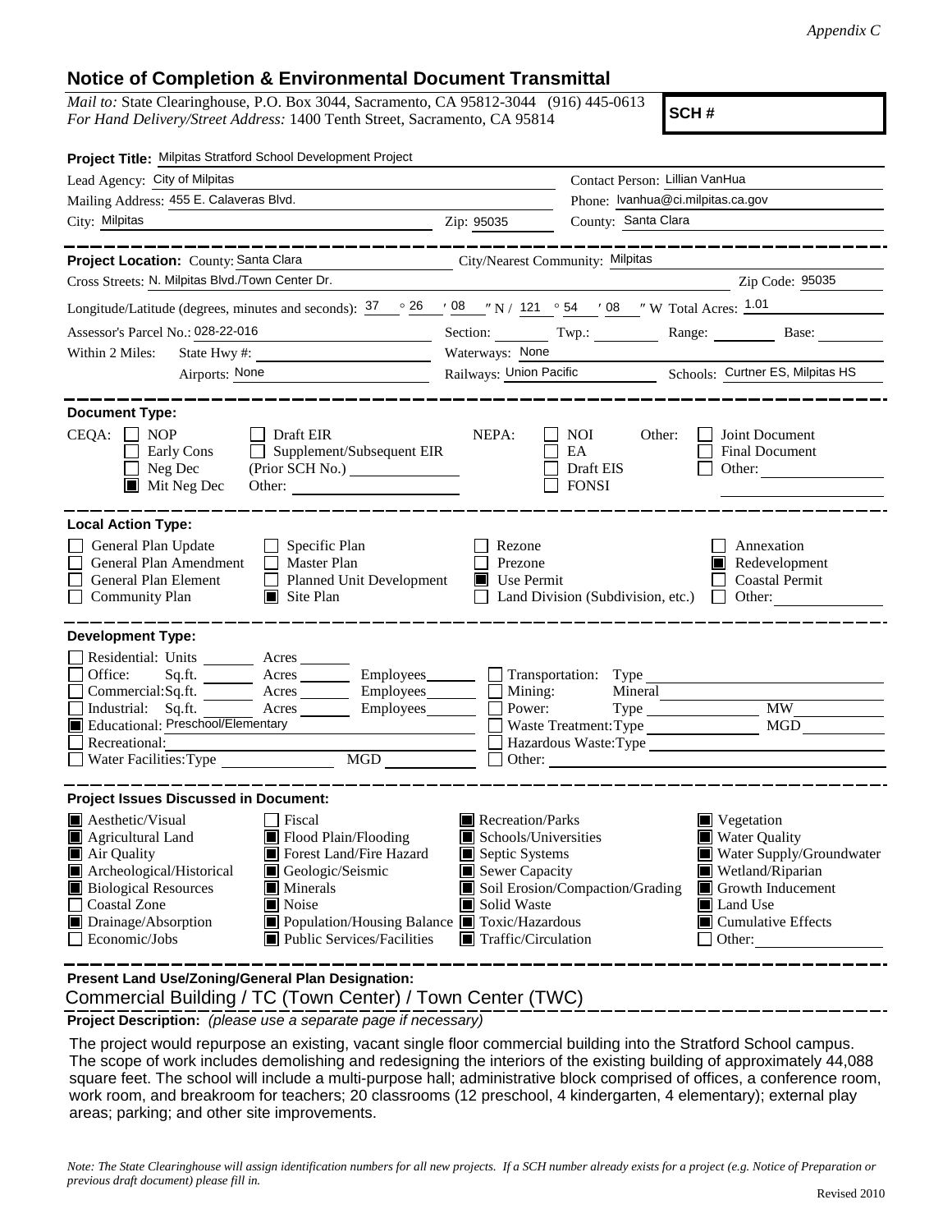### **Notice of Completion & Environmental Document Transmittal**

*Mail to:* State Clearinghouse, P.O. Box 3044, Sacramento, CA 95812-3044 (916) 445-0613 *For Hand Delivery/Street Address:* 1400 Tenth Street, Sacramento, CA 95814

**SCH #**

| Project Title: Milpitas Stratford School Development Project                                                                                                                                                                                                                                                                                                    |                                                                                                         |                                                                                                                                                                                     |                                           |                                                                                                                      |                                                                                                                                              |  |
|-----------------------------------------------------------------------------------------------------------------------------------------------------------------------------------------------------------------------------------------------------------------------------------------------------------------------------------------------------------------|---------------------------------------------------------------------------------------------------------|-------------------------------------------------------------------------------------------------------------------------------------------------------------------------------------|-------------------------------------------|----------------------------------------------------------------------------------------------------------------------|----------------------------------------------------------------------------------------------------------------------------------------------|--|
| Lead Agency: City of Milpitas                                                                                                                                                                                                                                                                                                                                   |                                                                                                         | Contact Person: Lillian VanHua                                                                                                                                                      |                                           |                                                                                                                      |                                                                                                                                              |  |
| Mailing Address: 455 E. Calaveras Blvd.                                                                                                                                                                                                                                                                                                                         |                                                                                                         |                                                                                                                                                                                     |                                           | Phone: Ivanhua@ci.milpitas.ca.gov                                                                                    |                                                                                                                                              |  |
| City: Milpitas<br><u> 1989 - Johann Barn, fransk politik (f. 1989)</u>                                                                                                                                                                                                                                                                                          |                                                                                                         | Zip: 95035                                                                                                                                                                          | County: Santa Clara                       |                                                                                                                      |                                                                                                                                              |  |
|                                                                                                                                                                                                                                                                                                                                                                 | ________                                                                                                |                                                                                                                                                                                     |                                           |                                                                                                                      | -----------------                                                                                                                            |  |
| Project Location: County: Santa Clara                                                                                                                                                                                                                                                                                                                           | <u> 1980 - Johann Barbara, martxa a</u>                                                                 | City/Nearest Community: Milpitas                                                                                                                                                    |                                           |                                                                                                                      |                                                                                                                                              |  |
| Cross Streets: N. Milpitas Blvd./Town Center Dr.                                                                                                                                                                                                                                                                                                                |                                                                                                         |                                                                                                                                                                                     |                                           | <u> 1989 - Jan Samuel Barbara, político establecido de la propia de la propia de la propia de la propia de la pr</u> | Zip Code: 95035                                                                                                                              |  |
| Longitude/Latitude (degrees, minutes and seconds): $\frac{37}{26}$ $\frac{26}{108}$ $\frac{108}{100}$ N / 121 $\degree$ 54 $\degree$ 08 $\degree$ W Total Acres: $\frac{1.01}{200}$                                                                                                                                                                             |                                                                                                         |                                                                                                                                                                                     |                                           |                                                                                                                      |                                                                                                                                              |  |
| Assessor's Parcel No.: 028-22-016                                                                                                                                                                                                                                                                                                                               |                                                                                                         |                                                                                                                                                                                     |                                           |                                                                                                                      | Section: Twp.: Range: Base:                                                                                                                  |  |
| Within 2 Miles:<br>State Hwy#:                                                                                                                                                                                                                                                                                                                                  | the contract of the contract of the contract of                                                         | Waterways: None                                                                                                                                                                     |                                           |                                                                                                                      |                                                                                                                                              |  |
| Airports: None                                                                                                                                                                                                                                                                                                                                                  |                                                                                                         | Railways: Union Pacific Schools: Curtner ES, Milpitas HS                                                                                                                            |                                           |                                                                                                                      |                                                                                                                                              |  |
| <b>Document Type:</b><br>$CEQA: \Box NOP$<br>$\Box$ Draft EIR<br>Early Cons<br>Neg Dec<br>$\blacksquare$ Mit Neg Dec                                                                                                                                                                                                                                            | $\Box$ Supplement/Subsequent EIR<br>Other:                                                              | NEPA:                                                                                                                                                                               | NOI 11<br>EA<br>Draft EIS<br><b>FONSI</b> | Other:                                                                                                               | Joint Document<br><b>Final Document</b><br>Other:                                                                                            |  |
| <b>Local Action Type:</b><br>General Plan Update<br>$\Box$ Specific Plan<br>General Plan Amendment<br>Master Plan<br>General Plan Element<br><b>Community Plan</b><br>$\Box$ Site Plan                                                                                                                                                                          | Planned Unit Development                                                                                | Rezone<br>Prezone<br>$\blacksquare$ Use Permit                                                                                                                                      |                                           |                                                                                                                      | Annexation<br>Redevelopment<br><b>Coastal Permit</b><br>Land Division (Subdivision, etc.) $\Box$ Other:                                      |  |
| <b>Development Type:</b>                                                                                                                                                                                                                                                                                                                                        |                                                                                                         |                                                                                                                                                                                     |                                           |                                                                                                                      |                                                                                                                                              |  |
| Residential: Units ________ Acres _______<br>Office:<br>Sq.ft. ________ Acres _________ Employees _______ __ Transportation: Type _________________________<br>Commercial:Sq.ft. ________ Acres ________ Employees _______ $\Box$<br>Industrial: Sq.ft.<br>Acres Employees<br>Educational: Preschool/Elementary<br>П<br>Recreational:<br>Water Facilities: Type | $\begin{tabular}{ c c } \hline \text{MGD} & \text{---} \\ \hline \end{tabular}$                         | Mining:<br>Power:                                                                                                                                                                   | Mineral                                   | Waste Treatment: Type<br>Hazardous Waste:Type<br>Other: <u>International Communication</u>                           | <b>MW</b><br>MGD                                                                                                                             |  |
| <b>Project Issues Discussed in Document:</b>                                                                                                                                                                                                                                                                                                                    |                                                                                                         |                                                                                                                                                                                     |                                           |                                                                                                                      |                                                                                                                                              |  |
| $\blacksquare$ Aesthetic/Visual<br>  Fiscal<br>Flood Plain/Flooding<br>Agricultural Land<br>Air Quality<br>Archeological/Historical<br>Geologic/Seismic<br><b>Biological Resources</b><br>$\blacksquare$ Minerals<br><b>Coastal Zone</b><br>Noise<br>$\Box$<br>Drainage/Absorption<br>Economic/Jobs                                                             | Forest Land/Fire Hazard<br>■ Population/Housing Balance ■ Toxic/Hazardous<br>Public Services/Facilities | Recreation/Parks<br>$\blacksquare$ Schools/Universities<br>Septic Systems<br>Sewer Capacity<br>Soil Erosion/Compaction/Grading<br>Solid Waste<br>$\blacksquare$ Traffic/Circulation |                                           | Land Use<br>Other:                                                                                                   | Vegetation<br><b>Water Quality</b><br>Water Supply/Groundwater<br>Wetland/Riparian<br>Growth Inducement<br>$\blacksquare$ Cumulative Effects |  |
| Present Land Use/Zoning/General Plan Designation:                                                                                                                                                                                                                                                                                                               |                                                                                                         |                                                                                                                                                                                     |                                           |                                                                                                                      |                                                                                                                                              |  |

Commercial Building / TC (Town Center) / Town Center (TWC)

**Project Description:** *(please use a separate page if necessary)*

 The project would repurpose an existing, vacant single floor commercial building into the Stratford School campus. The scope of work includes demolishing and redesigning the interiors of the existing building of approximately 44,088 square feet. The school will include a multi-purpose hall; administrative block comprised of offices, a conference room, work room, and breakroom for teachers; 20 classrooms (12 preschool, 4 kindergarten, 4 elementary); external play areas; parking; and other site improvements.

*Note: The State Clearinghouse will assign identification numbers for all new projects. If a SCH number already exists for a project (e.g. Notice of Preparation or previous draft document) please fill in.*